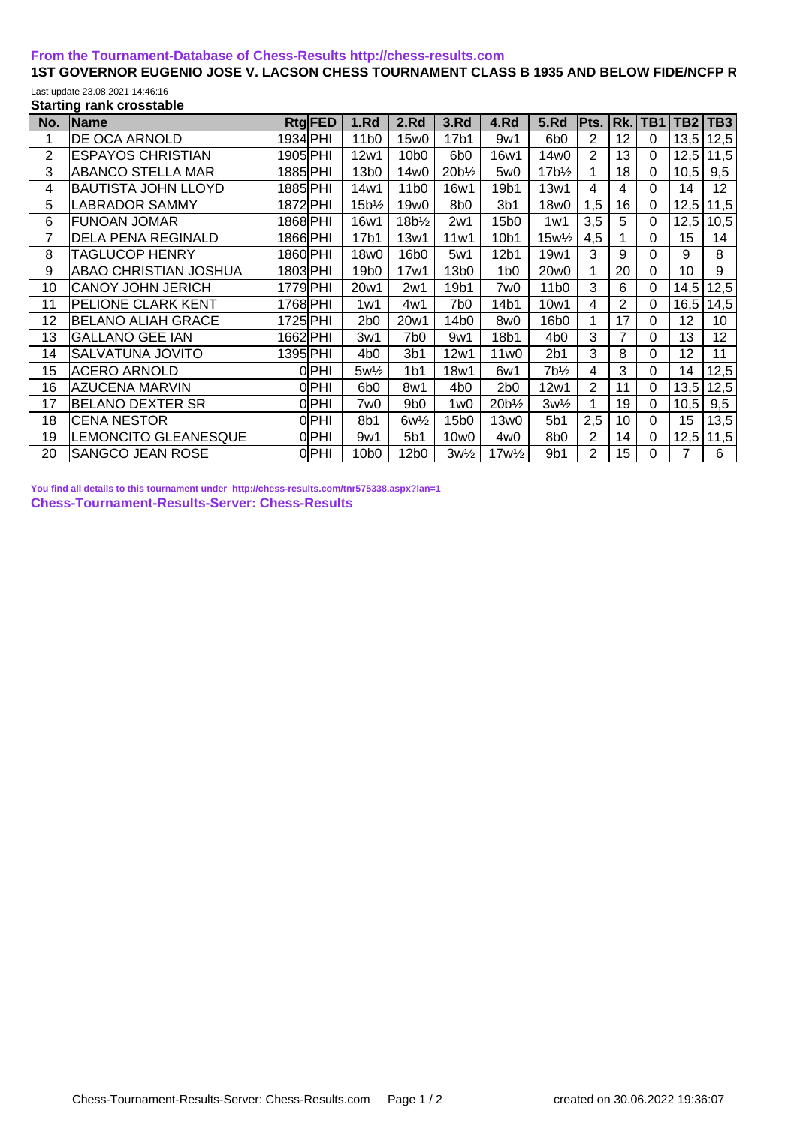## **[From the Tournament-Database of Chess-Results http://chess-results.com](http://chess-results.com/)**

## 1ST GOVERNOR EUGENIO JOSE V. LACSON CHESS TOURNAMENT CLASS B 1935 AND BELOW FIDE/NCFP R Last update 23.08.2021 14:46:16

**Starting rank crosstable**

| No. | Name                         | <b>RtgFED</b> | 1.Rd             | 2.Rd               | 3.Rd             | 4.Rd             | 5.Rd                            | Pts.           | Rk.            | TB1         | TB2  | TB <sub>3</sub> |
|-----|------------------------------|---------------|------------------|--------------------|------------------|------------------|---------------------------------|----------------|----------------|-------------|------|-----------------|
|     | DE OCA ARNOLD                | 1934 PHI      | 11 <sub>b0</sub> | 15w0               | 17b1             | 9w1              | 6 <sub>b</sub> 0                | 2              | 12             | $\Omega$    | 13,5 | 12,5            |
| 2   | <b>ESPAYOS CHRISTIAN</b>     | 1905 PHI      | 12w1             | 10 <sub>b</sub> 0  | 6 <sub>b</sub> 0 | 16w1             | 14w0                            | 2              | 13             | $\Omega$    | 12,5 | 11,5            |
| 3   | <b>ABANCO STELLA MAR</b>     | 1885 PHI      | 13b0             | 14w0               | $20b\frac{1}{2}$ | 5w0              | $17b\frac{1}{2}$                |                | 18             | 0           | 10,5 | 9,5             |
| 4   | BAUTISTA JOHN LLOYD          | 1885 PHI      | 14w1             | 11 <sub>b0</sub>   | 16w1             | 19b1             | 13w1                            | 4              | 4              | $\Omega$    | 14   | 12 <sub>2</sub> |
| 5   | <b>LABRADOR SAMMY</b>        | 1872 PHI      | $15b\frac{1}{2}$ | 19w0               | 8b0              | 3 <sub>b1</sub>  | 18w0                            | 1,5            | 16             | $\Omega$    | 12,5 | 11,5            |
| 6   | FUNOAN JOMAR                 | 1868 PHI      | 16w1             | 18b <sup>1/2</sup> | 2w1              | 15b0             | 1w1                             | 3,5            | 5              | $\mathbf 0$ | 12,5 | 10,5            |
| 7   | <b>DELA PENA REGINALD</b>    | 1866 PHI      | 17b1             | 13w1               | 11w1             | 10b1             | 15w <sup>1</sup> / <sub>2</sub> | 4,5            |                | $\Omega$    | 15   | 14              |
| 8   | <b>TAGLUCOP HENRY</b>        | 1860 PHI      | 18w0             | 16b0               | 5w1              | 12b1             | 19w1                            | 3              | 9              | $\Omega$    | 9    | 8               |
| 9   | <b>ABAO CHRISTIAN JOSHUA</b> | 1803 PHI      | 19 <sub>b0</sub> | 17w1               | 13b0             | 1 <sub>b0</sub>  | 20w0                            |                | 20             | $\Omega$    | 10   | 9               |
| 10  | <b>CANOY JOHN JERICH</b>     | 1779 PHI      | 20w1             | 2w1                | 19b1             | 7w0              | 11 <sub>b</sub> 0               | 3              | 6              | 0           | 14,5 | 12,5            |
| 11  | PELIONE CLARK KENT           | 1768 PHI      | 1w1              | 4w1                | 7b0              | 14b1             | 10w1                            | 4              | $\overline{2}$ | $\Omega$    | 16,5 | 14,5            |
| 12  | BELANO ALIAH GRACE           | 1725 PHI      | 2 <sub>b0</sub>  | 20w1               | 14b0             | 8w0              | 16b0                            |                | 17             | $\Omega$    | 12   | 10              |
| 13  | <b>GALLANO GEE IAN</b>       | 1662 PHI      | 3w1              | 7b <sub>0</sub>    | 9w1              | 18b1             | 4 <sub>b0</sub>                 | 3              | 7              | $\mathbf 0$ | 13   | 12              |
| 14  | SALVATUNA JOVITO             | 1395 PHI      | 4b0              | 3 <sub>b1</sub>    | 12w1             | 11w0             | 2b1                             | 3              | 8              | $\Omega$    | 12   | 11              |
| 15  | ACERO ARNOLD                 | 0 PHI         | $5w\frac{1}{2}$  | 1 <sub>b1</sub>    | 18w1             | 6w1              | $7b\frac{1}{2}$                 | 4              | 3              | $\Omega$    | 14   | 12,5            |
| 16  | AZUCENA MARVIN               | 0 PHI         | 6b <sub>0</sub>  | 8w1                | 4 <sub>b0</sub>  | 2 <sub>b0</sub>  | 12w1                            | 2              | 11             | 0           | 13,5 | 12,5            |
| 17  | BELANO DEXTER SR             | 0lPHI         | 7w0              | 9 <sub>b0</sub>    | 1w0              | $20b\frac{1}{2}$ | $3w\frac{1}{2}$                 |                | 19             | $\Omega$    | 10,5 | 9,5             |
| 18  | ICENA NESTOR                 | 0 PHI         | 8b1              | $6w\frac{1}{2}$    | 15b0             | 13w0             | 5 <sub>b1</sub>                 | 2,5            | 10             | $\Omega$    | 15   | 13,5            |
| 19  | LEMONCITO GLEANESQUE         | 0 PHI         | 9w1              | 5 <sub>b1</sub>    | 10w0             | 4w0              | 8b <sub>0</sub>                 | $\overline{2}$ | 14             | $\mathbf 0$ | 12,5 | 11,5            |
| 20  | <b>SANGCO JEAN ROSE</b>      | 0 PHI         | 10b0             | 12b0               | $3w\frac{1}{2}$  | $17w\frac{1}{2}$ | 9 <sub>b1</sub>                 | 2              | 15             | $\Omega$    | 7    | 6               |

**[You find all details to this tournament under http://chess-results.com/tnr575338.aspx?lan=1](http://chess-results.com/tnr575338.aspx?lan=1) [Chess-Tournament-Results-Server: Chess-Results](http://chess-results.com/)**